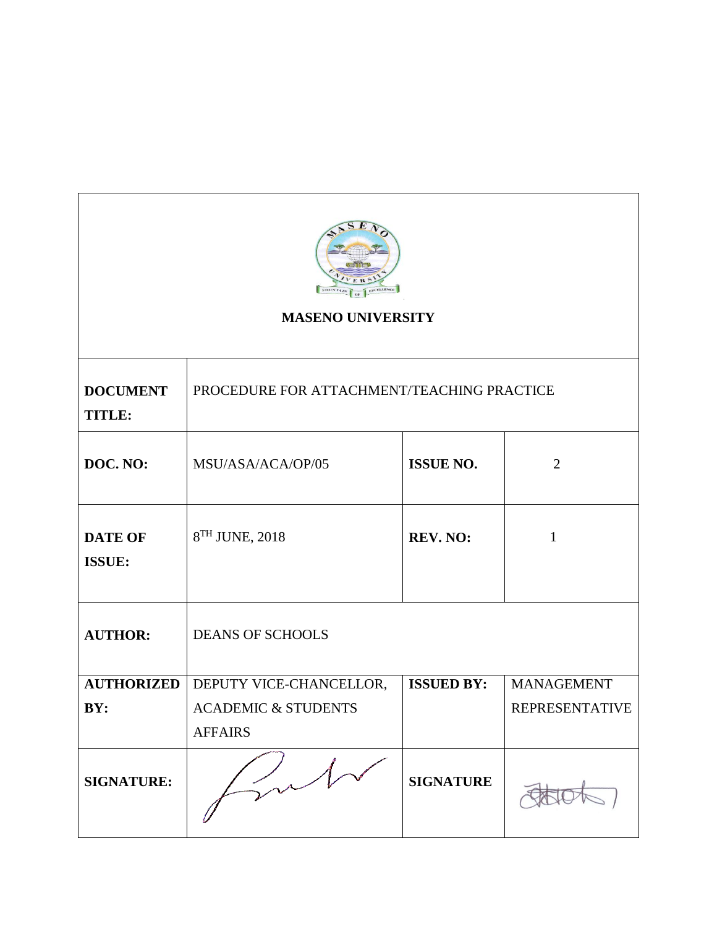

# **MASENO UNIVERSITY**

| <b>DOCUMENT</b><br><b>TITLE:</b> | PROCEDURE FOR ATTACHMENT/TEACHING PRACTICE |                   |                       |
|----------------------------------|--------------------------------------------|-------------------|-----------------------|
| DOC. NO:                         | MSU/ASA/ACA/OP/05                          | <b>ISSUE NO.</b>  | $\overline{2}$        |
| <b>DATE OF</b><br><b>ISSUE:</b>  | 8 <sup>TH</sup> JUNE, 2018                 | <b>REV. NO:</b>   | $\mathbf{1}$          |
| <b>AUTHOR:</b>                   | <b>DEANS OF SCHOOLS</b>                    |                   |                       |
| <b>AUTHORIZED</b>                | DEPUTY VICE-CHANCELLOR,                    | <b>ISSUED BY:</b> | <b>MANAGEMENT</b>     |
| BY:                              | <b>ACADEMIC &amp; STUDENTS</b>             |                   | <b>REPRESENTATIVE</b> |
|                                  | <b>AFFAIRS</b>                             |                   |                       |
| <b>SIGNATURE:</b>                |                                            | <b>SIGNATURE</b>  |                       |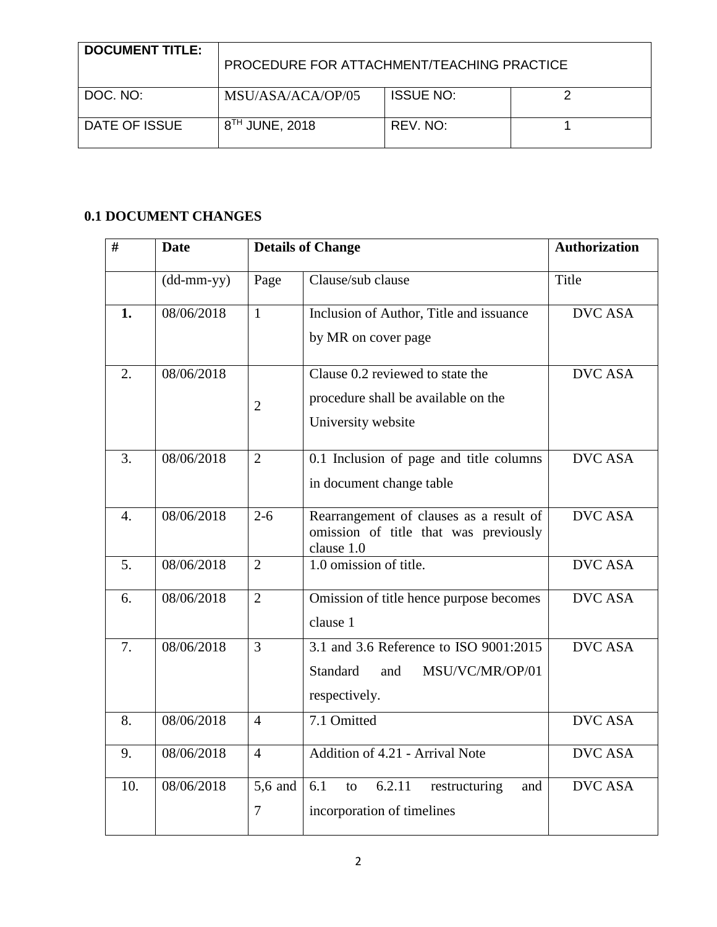| <b>DOCUMENT TITLE:</b> | PROCEDURE FOR ATTACHMENT/TEACHING PRACTICE |                  |  |
|------------------------|--------------------------------------------|------------------|--|
| DOC. NO:               | MSU/ASA/ACA/OP/05                          | <b>ISSUE NO:</b> |  |
| DATE OF ISSUE          | 8 <sup>TH</sup> JUNE, 2018                 | REV. NO:         |  |

# **0.1 DOCUMENT CHANGES**

| #                | <b>Date</b>                                       |                | <b>Details of Change</b>                                                                             | <b>Authorization</b> |
|------------------|---------------------------------------------------|----------------|------------------------------------------------------------------------------------------------------|----------------------|
|                  | $(dd{\text{-}\!\!\,\text{mm-}}\text{\small{yy}})$ | Page           | Clause/sub clause                                                                                    | Title                |
| 1.               | 08/06/2018                                        | $\mathbf{1}$   | Inclusion of Author, Title and issuance<br>by MR on cover page                                       | <b>DVC ASA</b>       |
| $\overline{2}$ . | 08/06/2018                                        | $\overline{2}$ | Clause 0.2 reviewed to state the<br>procedure shall be available on the<br>University website        | <b>DVC ASA</b>       |
| 3.               | 08/06/2018                                        | $\overline{2}$ | 0.1 Inclusion of page and title columns<br>in document change table                                  | <b>DVC ASA</b>       |
| $\overline{4}$ . | 08/06/2018                                        | $2 - 6$        | Rearrangement of clauses as a result of<br>omission of title that was previously<br>clause 1.0       | <b>DVC ASA</b>       |
| 5.               | 08/06/2018                                        | $\overline{2}$ | 1.0 omission of title.                                                                               | <b>DVC ASA</b>       |
| 6.               | 08/06/2018                                        | 2              | Omission of title hence purpose becomes<br>clause 1                                                  | <b>DVC ASA</b>       |
| 7.               | 08/06/2018                                        | $\overline{3}$ | 3.1 and 3.6 Reference to ISO 9001:2015<br><b>Standard</b><br>MSU/VC/MR/OP/01<br>and<br>respectively. | <b>DVC ASA</b>       |
| 8.               | 08/06/2018                                        | $\overline{4}$ | 7.1 Omitted                                                                                          | <b>DVC ASA</b>       |
| 9.               | 08/06/2018                                        | $\overline{4}$ | Addition of 4.21 - Arrival Note                                                                      | <b>DVC ASA</b>       |
| 10.              | 08/06/2018                                        | 5,6 and<br>7   | 6.2.11<br>6.1<br>restructuring<br>and<br>to<br>incorporation of timelines                            | <b>DVC ASA</b>       |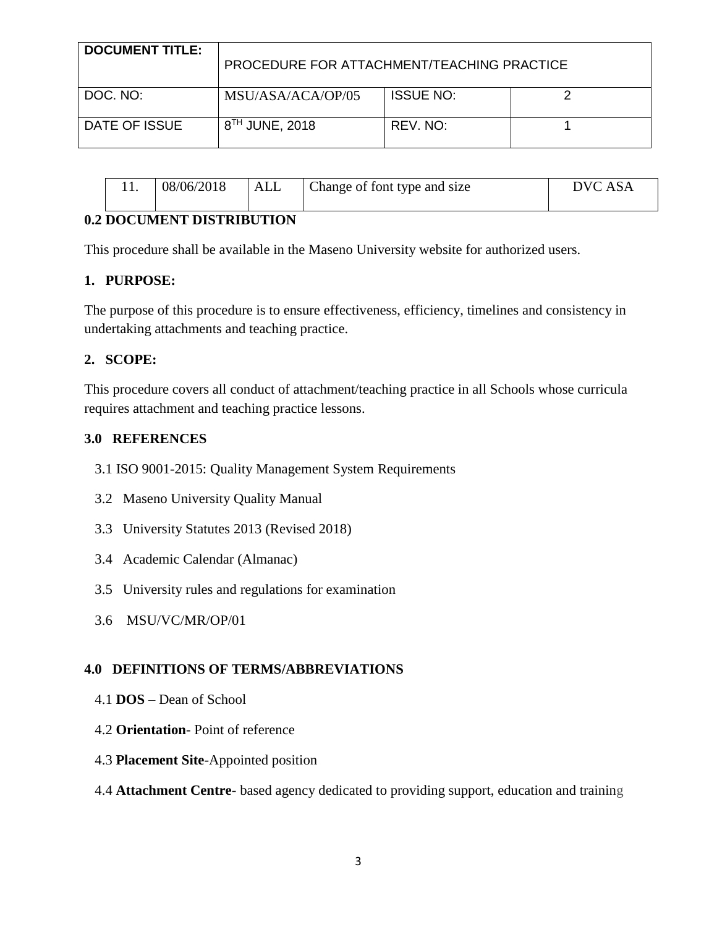| <b>DOCUMENT TITLE:</b> | PROCEDURE FOR ATTACHMENT/TEACHING PRACTICE |                  |  |
|------------------------|--------------------------------------------|------------------|--|
| DOC. NO:               | MSU/ASA/ACA/OP/05                          | <b>ISSUE NO:</b> |  |
| DATE OF ISSUE          | $8^{TH}$ JUNE, 2018                        | REV. NO:         |  |

|  | 08/06/2018 | ALL | Change of font type and size | DVC ASA |
|--|------------|-----|------------------------------|---------|
|--|------------|-----|------------------------------|---------|

## **0.2 DOCUMENT DISTRIBUTION**

This procedure shall be available in the Maseno University website for authorized users.

## **1. PURPOSE:**

The purpose of this procedure is to ensure effectiveness, efficiency, timelines and consistency in undertaking attachments and teaching practice.

## **2. SCOPE:**

This procedure covers all conduct of attachment/teaching practice in all Schools whose curricula requires attachment and teaching practice lessons.

## **3.0 REFERENCES**

- 3.1 ISO 9001-2015: Quality Management System Requirements
- 3.2 Maseno University Quality Manual
- 3.3 University Statutes 2013 (Revised 2018)
- 3.4 Academic Calendar (Almanac)
- 3.5 University rules and regulations for examination
- 3.6 MSU/VC/MR/OP/01

# **4.0 DEFINITIONS OF TERMS/ABBREVIATIONS**

- 4.1 **DOS** Dean of School
- 4.2 **Orientation** Point of reference
- 4.3 **Placement Site**-Appointed position

### 4.4 **Attachment Centre**- based agency dedicated to providing support, education and training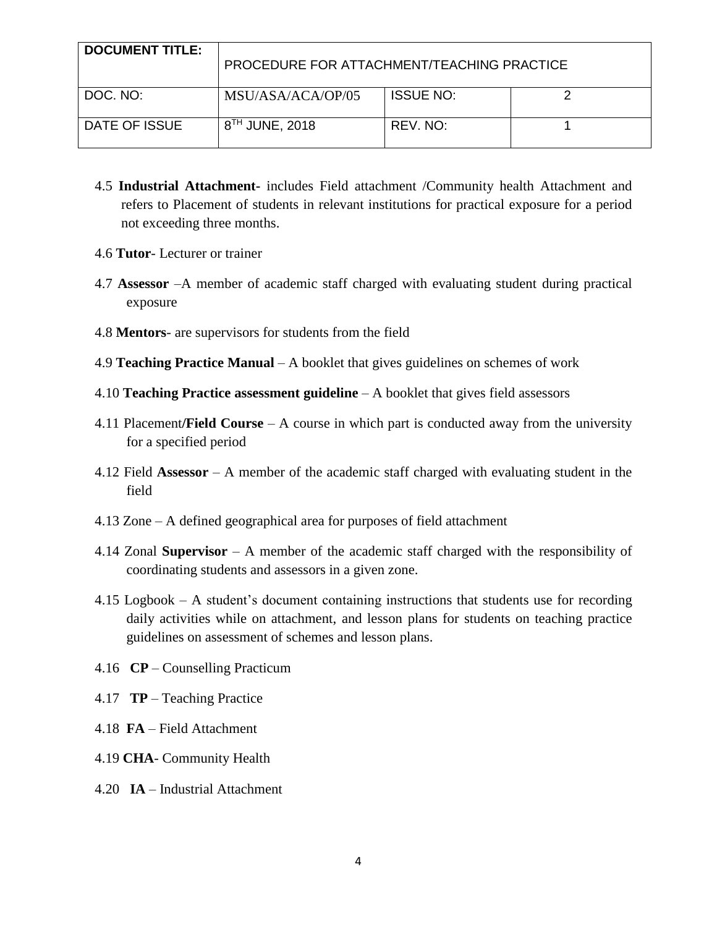| <b>DOCUMENT TITLE:</b> | PROCEDURE FOR ATTACHMENT/TEACHING PRACTICE |                  |  |
|------------------------|--------------------------------------------|------------------|--|
| DOC. NO:               | MSU/ASA/ACA/OP/05                          | <b>ISSUE NO:</b> |  |
| DATE OF ISSUE          | 8 <sup>TH</sup> JUNE, 2018                 | REV. NO:         |  |

- 4.5 **Industrial Attachment-** includes Field attachment /Community health Attachment and refers to Placement of students in relevant institutions for practical exposure for a period not exceeding three months.
- 4.6 **Tutor** Lecturer or trainer
- 4.7 **Assessor** –A member of academic staff charged with evaluating student during practical exposure
- 4.8 **Mentors** are supervisors for students from the field
- 4.9 **Teaching Practice Manual** A booklet that gives guidelines on schemes of work
- 4.10 **Teaching Practice assessment guideline** A booklet that gives field assessors
- 4.11 Placement**/Field Course** A course in which part is conducted away from the university for a specified period
- 4.12 Field **Assessor** A member of the academic staff charged with evaluating student in the field
- 4.13 Zone A defined geographical area for purposes of field attachment
- 4.14 Zonal **Supervisor** A member of the academic staff charged with the responsibility of coordinating students and assessors in a given zone.
- 4.15 Logbook A student's document containing instructions that students use for recording daily activities while on attachment, and lesson plans for students on teaching practice guidelines on assessment of schemes and lesson plans.
- 4.16 **CP** Counselling Practicum
- 4.17 **TP** Teaching Practice
- 4.18 **FA** Field Attachment
- 4.19 **CHA** Community Health
- 4.20 **IA** Industrial Attachment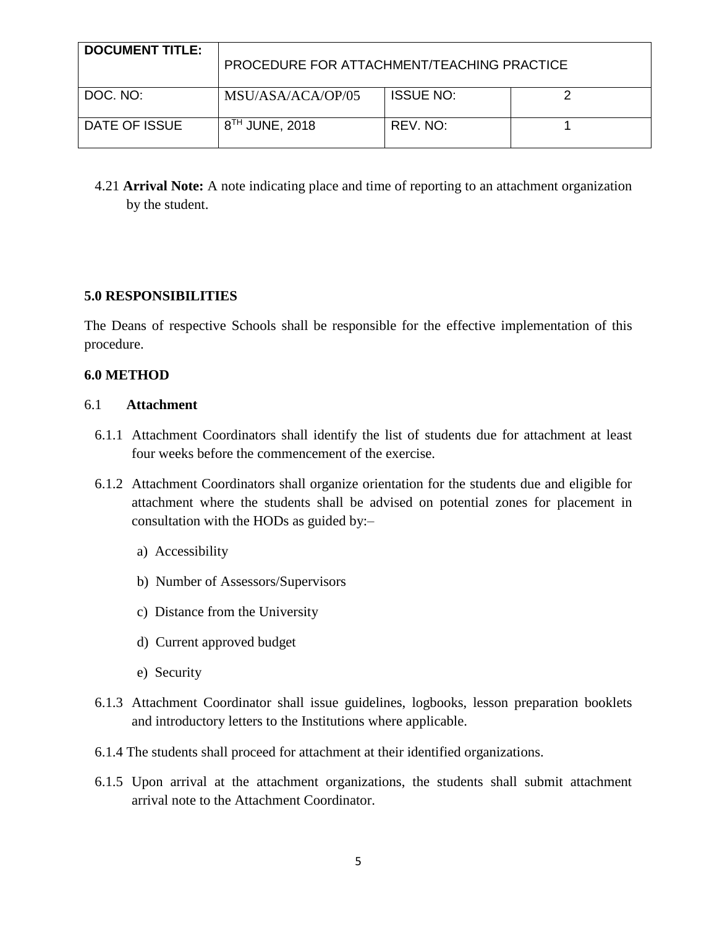| <b>DOCUMENT TITLE:</b> | PROCEDURE FOR ATTACHMENT/TEACHING PRACTICE |                  |  |
|------------------------|--------------------------------------------|------------------|--|
| DOC. NO:               | MSU/ASA/ACA/OP/05                          | <b>ISSUE NO:</b> |  |
| DATE OF ISSUE          | $8^{TH}$ JUNE, 2018                        | REV. NO:         |  |

4.21 **Arrival Note:** A note indicating place and time of reporting to an attachment organization by the student.

# **5.0 RESPONSIBILITIES**

The Deans of respective Schools shall be responsible for the effective implementation of this procedure.

### **6.0 METHOD**

#### 6.1 **Attachment**

- 6.1.1 Attachment Coordinators shall identify the list of students due for attachment at least four weeks before the commencement of the exercise.
- 6.1.2 Attachment Coordinators shall organize orientation for the students due and eligible for attachment where the students shall be advised on potential zones for placement in consultation with the HODs as guided by:–
	- a) Accessibility
	- b) Number of Assessors/Supervisors
	- c) Distance from the University
	- d) Current approved budget
	- e) Security
- 6.1.3 Attachment Coordinator shall issue guidelines, logbooks, lesson preparation booklets and introductory letters to the Institutions where applicable.
- 6.1.4 The students shall proceed for attachment at their identified organizations.
- 6.1.5 Upon arrival at the attachment organizations, the students shall submit attachment arrival note to the Attachment Coordinator.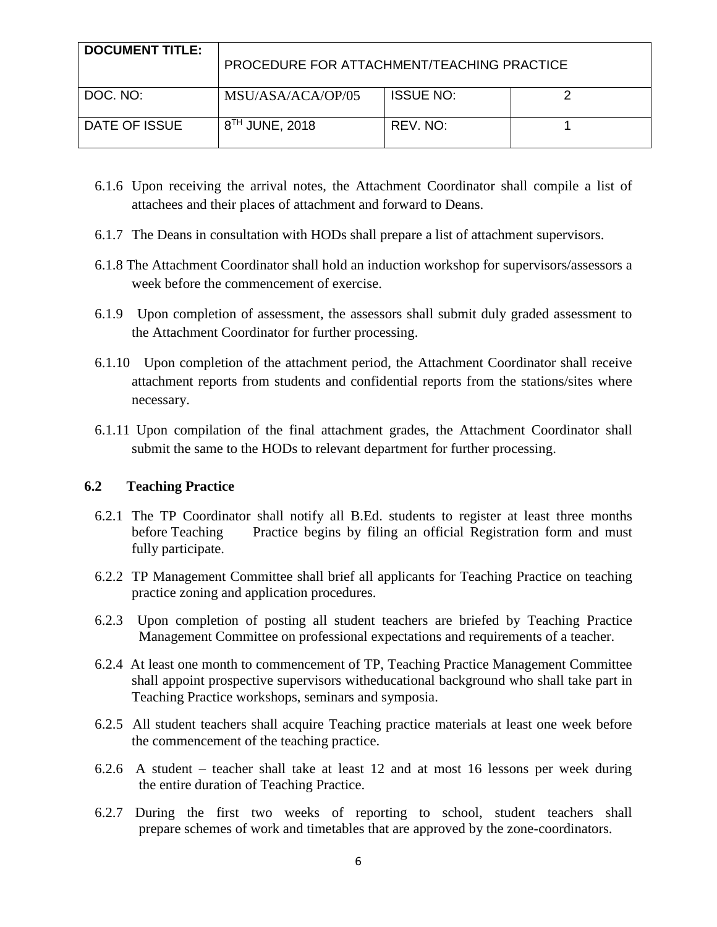| <b>DOCUMENT TITLE:</b> | PROCEDURE FOR ATTACHMENT/TEACHING PRACTICE |                  |  |
|------------------------|--------------------------------------------|------------------|--|
| DOC. NO:               | MSU/ASA/ACA/OP/05                          | <b>ISSUE NO:</b> |  |
| DATE OF ISSUE          | $8^{TH}$ JUNE, 2018                        | REV. NO:         |  |

- 6.1.6 Upon receiving the arrival notes, the Attachment Coordinator shall compile a list of attachees and their places of attachment and forward to Deans.
- 6.1.7 The Deans in consultation with HODs shall prepare a list of attachment supervisors.
- 6.1.8 The Attachment Coordinator shall hold an induction workshop for supervisors/assessors a week before the commencement of exercise.
- 6.1.9 Upon completion of assessment, the assessors shall submit duly graded assessment to the Attachment Coordinator for further processing.
- 6.1.10 Upon completion of the attachment period, the Attachment Coordinator shall receive attachment reports from students and confidential reports from the stations/sites where necessary.
- 6.1.11 Upon compilation of the final attachment grades, the Attachment Coordinator shall submit the same to the HODs to relevant department for further processing.

### **6.2 Teaching Practice**

- 6.2.1 The TP Coordinator shall notify all B.Ed. students to register at least three months before Teaching Practice begins by filing an official Registration form and must fully participate.
- 6.2.2 TP Management Committee shall brief all applicants for Teaching Practice on teaching practice zoning and application procedures.
- 6.2.3 Upon completion of posting all student teachers are briefed by Teaching Practice Management Committee on professional expectations and requirements of a teacher.
- 6.2.4 At least one month to commencement of TP, Teaching Practice Management Committee shall appoint prospective supervisors witheducational background who shall take part in Teaching Practice workshops, seminars and symposia.
- 6.2.5 All student teachers shall acquire Teaching practice materials at least one week before the commencement of the teaching practice.
- 6.2.6 A student teacher shall take at least 12 and at most 16 lessons per week during the entire duration of Teaching Practice.
- 6.2.7 During the first two weeks of reporting to school, student teachers shall prepare schemes of work and timetables that are approved by the zone-coordinators.